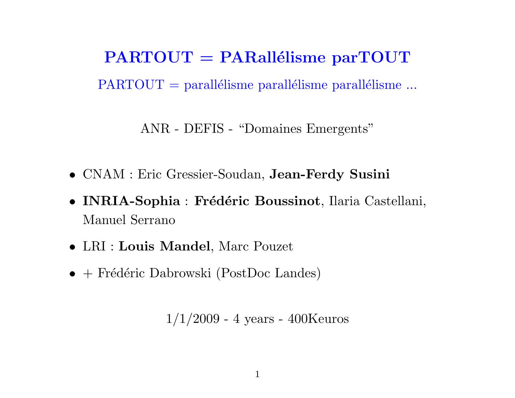$PARTOUT = PARallélisme parTOUT$  $PARTOUT = parallelisme parallelisme parallelisme.$ 

ANR - DEFIS - "Domaines Emergents"

- CNAM : Eric Gressier-Soudan, Jean-Ferdy Susini
- INRIA-Sophia : Frédéric Boussinot, Ilaria Castellani, Manuel Serrano
- LRI : Louis Mandel, Marc Pouzet
- $\bullet$  + Frédéric Dabrowski (PostDoc Landes)

 $1/1/2009$  - 4 years - 400Keuros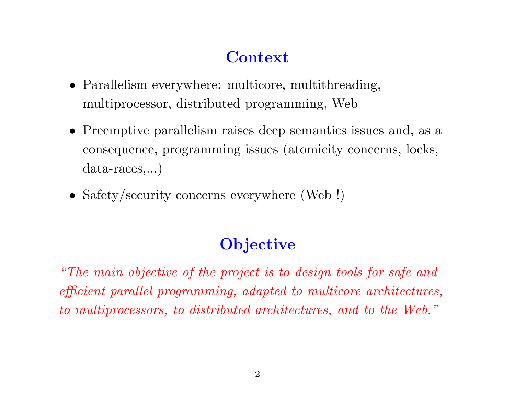## **Context**

- Parallelism everywhere: multicore, multithreading, multiprocessor, distributed programming, Web
- Preemptive parallelism raises deep semantics issues and, as a consequence, programming issues (atomicity concerns, locks, data-races,...)
- Safety/security concerns everywhere (Web !)

# **Objective**

"The main objective of the project is to design tools for safe and efficient parallel programming, adapted to multicore architectures, to multiprocessors, to distributed architectures, and to the Web."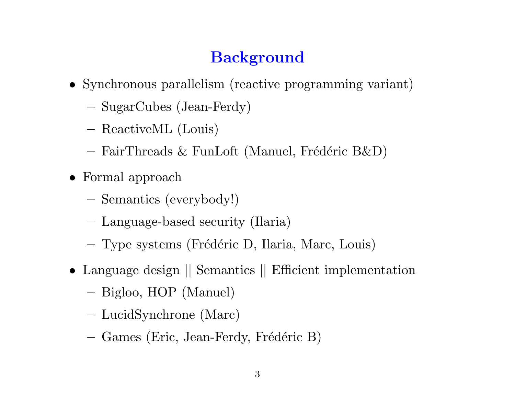# **Background**

- Synchronous parallelism (reactive programming variant)
	- SugarCubes (Jean-Ferdy)
	- ReactiveML (Louis)
	- FairThreads & FunLoft (Manuel, Frédéric B&D)
- Formal approach
	- Semantics (everybody!)
	- Language-based security (Ilaria)
	- Type systems (Frédéric D, Ilaria, Marc, Louis)
- Language design  $\vert\vert$  Semantics  $\vert\vert$  Efficient implementation
	- Bigloo, HOP (Manuel)
	- LucidSynchrone (Marc)
	- Games (Eric, Jean-Ferdy, Frédéric B)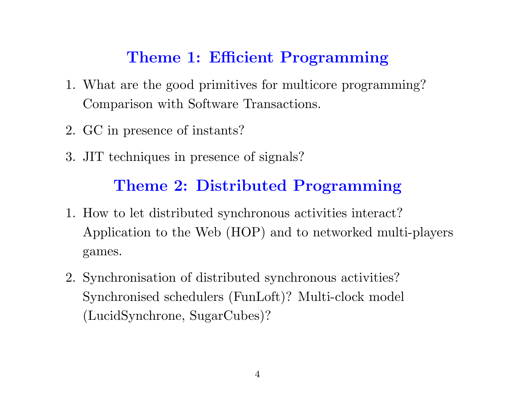#### Theme 1: Efficient Programming

- 1. What are the good primitives for multicore programming? Comparison with Software Transactions.
- 2. GC in presence of instants?
- 3. JIT techniques in presence of signals?

### Theme 2: Distributed Programming

- 1. How to let distributed synchronous activities interact? Application to the Web (HOP) and to networked multi-players games.
- 2. Synchronisation of distributed synchronous activities? Synchronised schedulers (FunLoft)? Multi-clock model (LucidSynchrone, SugarCubes)?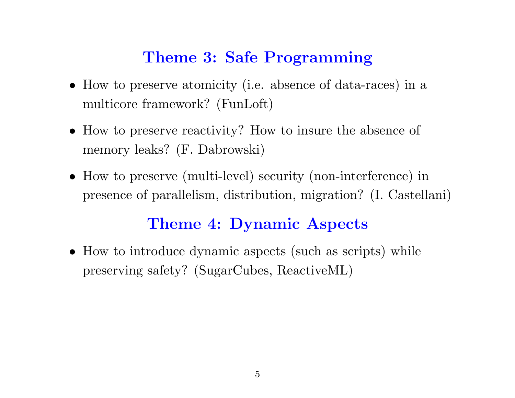#### Theme 3: Safe Programming

- How to preserve atomicity (i.e. absence of data-races) in a multicore framework? (FunLoft)
- How to preserve reactivity? How to insure the absence of memory leaks? (F. Dabrowski)
- How to preserve (multi-level) security (non-interference) in presence of parallelism, distribution, migration? (I. Castellani)

#### Theme 4: Dynamic Aspects

• How to introduce dynamic aspects (such as scripts) while preserving safety? (SugarCubes, ReactiveML)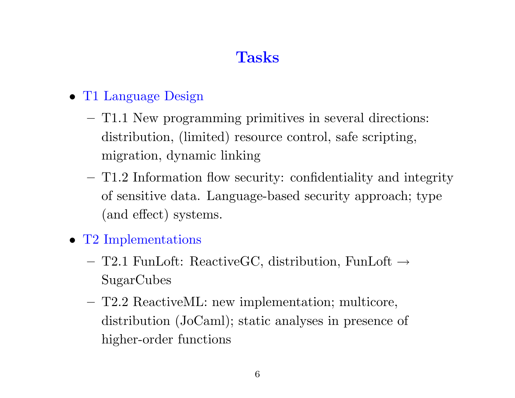# Tasks

- T1 Language Design
	- T1.1 New programming primitives in several directions: distribution, (limited) resource control, safe scripting, migration, dynamic linking
	- T1.2 Information flow security: confidentiality and integrity of sensitive data. Language-based security approach; type (and effect) systems.
- T2 Implementations
	- T2.1 FunLoft: ReactiveGC, distribution, FunLoft  $\rightarrow$ SugarCubes
	- T2.2 ReactiveML: new implementation; multicore, distribution (JoCaml); static analyses in presence of higher-order functions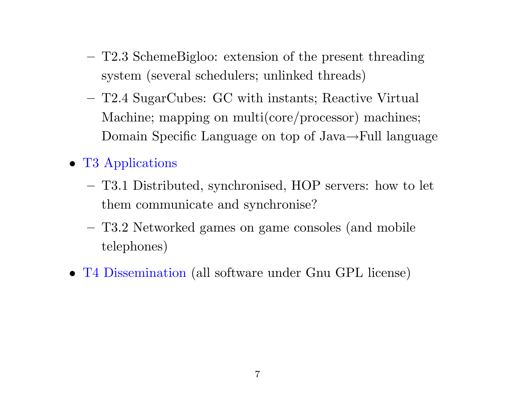- T2.3 SchemeBigloo: extension of the present threading system (several schedulers; unlinked threads)
- T2.4 SugarCubes: GC with instants; Reactive Virtual Machine; mapping on multi(core/processor) machines; Domain Specific Language on top of Java→Full language
- T3 Applications
	- T3.1 Distributed, synchronised, HOP servers: how to let them communicate and synchronise?
	- T3.2 Networked games on game consoles (and mobile telephones)
- T4 Dissemination (all software under Gnu GPL license)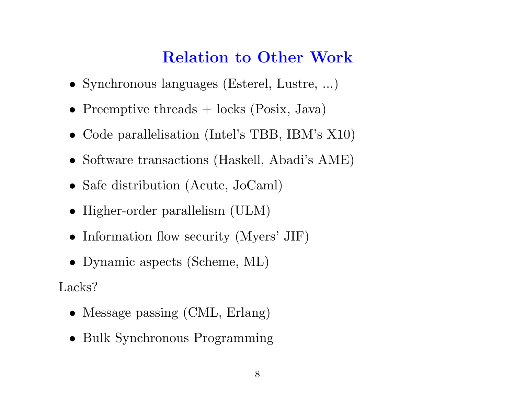### Relation to Other Work

- Synchronous languages (Esterel, Lustre, ...)
- Preemptive threads + locks (Posix, Java)
- Code parallelisation (Intel's TBB, IBM's X10)
- Software transactions (Haskell, Abadi's AME)
- Safe distribution (Acute, JoCaml)
- Higher-order parallelism (ULM)
- Information flow security (Myers' JIF)
- Dynamic aspects (Scheme, ML)

Lacks?

- Message passing (CML, Erlang)
- Bulk Synchronous Programming